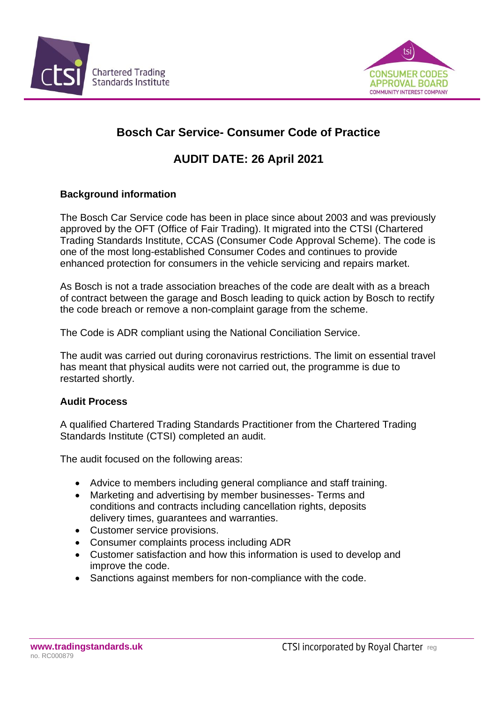



# **Bosch Car Service- Consumer Code of Practice**

## **AUDIT DATE: 26 April 2021**

## **Background information**

The Bosch Car Service code has been in place since about 2003 and was previously approved by the OFT (Office of Fair Trading). It migrated into the CTSI (Chartered Trading Standards Institute, CCAS (Consumer Code Approval Scheme). The code is one of the most long-established Consumer Codes and continues to provide enhanced protection for consumers in the vehicle servicing and repairs market.

As Bosch is not a trade association breaches of the code are dealt with as a breach of contract between the garage and Bosch leading to quick action by Bosch to rectify the code breach or remove a non-complaint garage from the scheme.

The Code is ADR compliant using the National Conciliation Service.

The audit was carried out during coronavirus restrictions. The limit on essential travel has meant that physical audits were not carried out, the programme is due to restarted shortly.

## **Audit Process**

A qualified Chartered Trading Standards Practitioner from the Chartered Trading Standards Institute (CTSI) completed an audit.

The audit focused on the following areas:

- Advice to members including general compliance and staff training.
- Marketing and advertising by member businesses- Terms and conditions and contracts including cancellation rights, deposits delivery times, guarantees and warranties.
- Customer service provisions.
- Consumer complaints process including ADR
- Customer satisfaction and how this information is used to develop and improve the code.
- Sanctions against members for non-compliance with the code.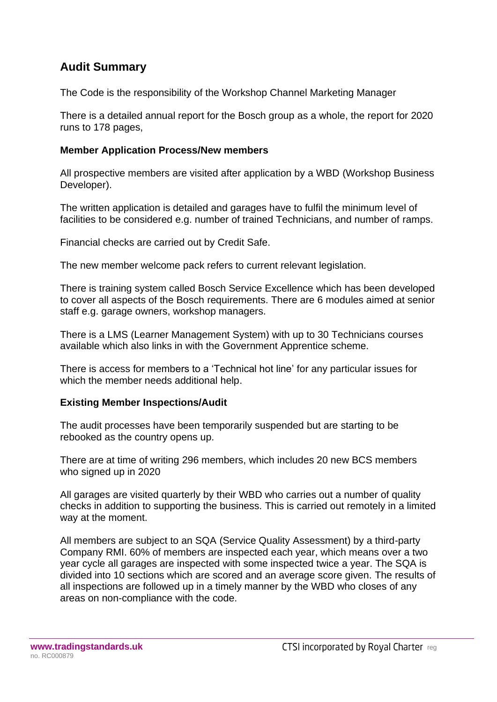## **Audit Summary**

The Code is the responsibility of the Workshop Channel Marketing Manager

There is a detailed annual report for the Bosch group as a whole, the report for 2020 runs to 178 pages,

#### **Member Application Process/New members**

All prospective members are visited after application by a WBD (Workshop Business Developer).

The written application is detailed and garages have to fulfil the minimum level of facilities to be considered e.g. number of trained Technicians, and number of ramps.

Financial checks are carried out by Credit Safe.

The new member welcome pack refers to current relevant legislation.

There is training system called Bosch Service Excellence which has been developed to cover all aspects of the Bosch requirements. There are 6 modules aimed at senior staff e.g. garage owners, workshop managers.

There is a LMS (Learner Management System) with up to 30 Technicians courses available which also links in with the Government Apprentice scheme.

There is access for members to a 'Technical hot line' for any particular issues for which the member needs additional help.

## **Existing Member Inspections/Audit**

The audit processes have been temporarily suspended but are starting to be rebooked as the country opens up.

There are at time of writing 296 members, which includes 20 new BCS members who signed up in 2020

All garages are visited quarterly by their WBD who carries out a number of quality checks in addition to supporting the business. This is carried out remotely in a limited way at the moment.

All members are subject to an SQA (Service Quality Assessment) by a third-party Company RMI. 60% of members are inspected each year, which means over a two year cycle all garages are inspected with some inspected twice a year. The SQA is divided into 10 sections which are scored and an average score given. The results of all inspections are followed up in a timely manner by the WBD who closes of any areas on non-compliance with the code.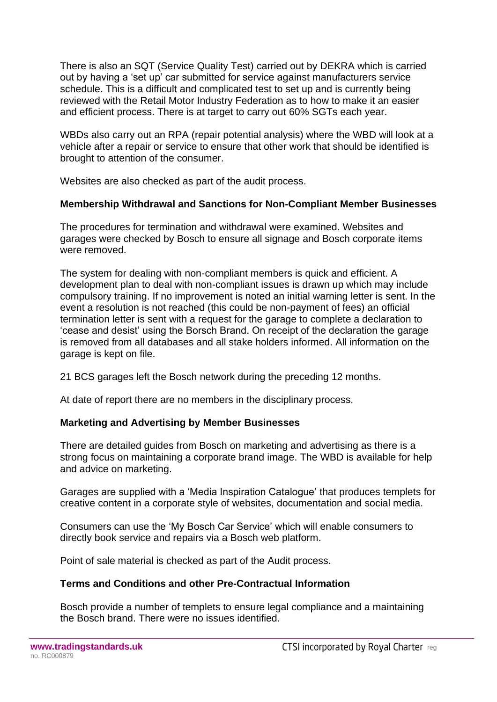There is also an SQT (Service Quality Test) carried out by DEKRA which is carried out by having a 'set up' car submitted for service against manufacturers service schedule. This is a difficult and complicated test to set up and is currently being reviewed with the Retail Motor Industry Federation as to how to make it an easier and efficient process. There is at target to carry out 60% SGTs each year.

WBDs also carry out an RPA (repair potential analysis) where the WBD will look at a vehicle after a repair or service to ensure that other work that should be identified is brought to attention of the consumer.

Websites are also checked as part of the audit process.

#### **Membership Withdrawal and Sanctions for Non-Compliant Member Businesses**

The procedures for termination and withdrawal were examined. Websites and garages were checked by Bosch to ensure all signage and Bosch corporate items were removed.

The system for dealing with non-compliant members is quick and efficient. A development plan to deal with non-compliant issues is drawn up which may include compulsory training. If no improvement is noted an initial warning letter is sent. In the event a resolution is not reached (this could be non-payment of fees) an official termination letter is sent with a request for the garage to complete a declaration to 'cease and desist' using the Borsch Brand. On receipt of the declaration the garage is removed from all databases and all stake holders informed. All information on the garage is kept on file.

21 BCS garages left the Bosch network during the preceding 12 months.

At date of report there are no members in the disciplinary process.

#### **Marketing and Advertising by Member Businesses**

There are detailed guides from Bosch on marketing and advertising as there is a strong focus on maintaining a corporate brand image. The WBD is available for help and advice on marketing.

Garages are supplied with a 'Media Inspiration Catalogue' that produces templets for creative content in a corporate style of websites, documentation and social media.

Consumers can use the 'My Bosch Car Service' which will enable consumers to directly book service and repairs via a Bosch web platform.

Point of sale material is checked as part of the Audit process.

#### **Terms and Conditions and other Pre-Contractual Information**

Bosch provide a number of templets to ensure legal compliance and a maintaining the Bosch brand. There were no issues identified.